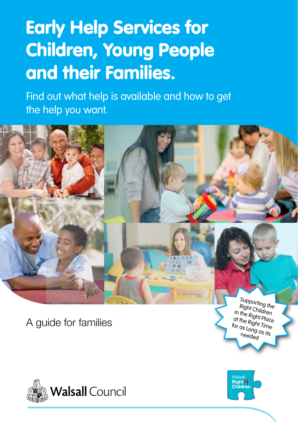# Early Help Services for Children, Young People and their Families.

Find out what help is available and how to get the help you want.



A guide for families

Right Children in the Right Place at the Right Time for as Long as its needed



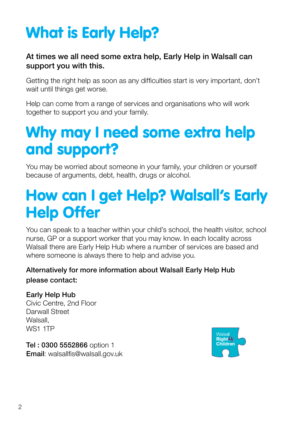# What is Early Help?

#### At times we all need some extra help, Early Help in Walsall can support you with this.

Getting the right help as soon as any difficulties start is very important, don't wait until things get worse.

Help can come from a range of services and organisations who will work together to support you and your family.

### Why may I need some extra help and support?

You may be worried about someone in your family, your children or yourself because of arguments, debt, health, drugs or alcohol.

### How can I get Help? Walsall's Early Help Offer

You can speak to a teacher within your child's school, the health visitor, school nurse, GP or a support worker that you may know. In each locality across Walsall there are Early Help Hub where a number of services are based and where someone is always there to help and advise you.

#### Alternatively for more information about Walsall Early Help Hub please contact:

#### Early Help Hub

Civic Centre, 2nd Floor Darwall Street Walsall, WS1 1TP

Tel : 0300 5552866 option 1 Email: walsallfis@walsall.gov.uk

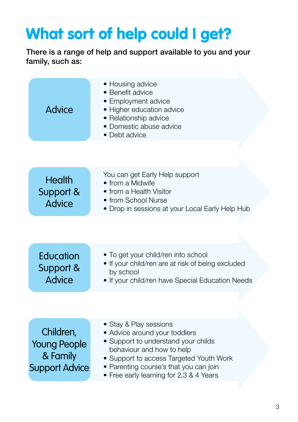## What sort of help could I get?

There is a range of help and support available to you and your family, such as:

| <b>Advice</b>                                                         | • Housing advice<br>• Benefit advice<br>• Employment advice<br>• Higher education advice<br>• Relationship advice<br>• Domestic abuse advice<br>• Debt advice                                                                                               |
|-----------------------------------------------------------------------|-------------------------------------------------------------------------------------------------------------------------------------------------------------------------------------------------------------------------------------------------------------|
|                                                                       |                                                                                                                                                                                                                                                             |
| <b>Health</b><br>Support &<br><b>Advice</b>                           | You can get Early Help support<br>• from a Midwife<br>• from a Health Visitor<br>• from School Nurse<br>• Drop in sessions at your Local Early Help Hub                                                                                                     |
|                                                                       |                                                                                                                                                                                                                                                             |
| Education<br>Support &<br><b>Advice</b>                               | • To get your child/ren into school<br>• If your child/ren are at risk of being excluded<br>by school<br>• If your child/ren have Special Education Needs                                                                                                   |
|                                                                       |                                                                                                                                                                                                                                                             |
| Children,<br><b>Young People</b><br>& Family<br><b>Support Advice</b> | • Stay & Play sessions<br>• Advice around your toddlers<br>• Support to understand your childs<br>behaviour and how to help<br>• Support to access Targeted Youth Work<br>• Parenting course's that you can join<br>• Free early learning for 2,3 & 4 Years |